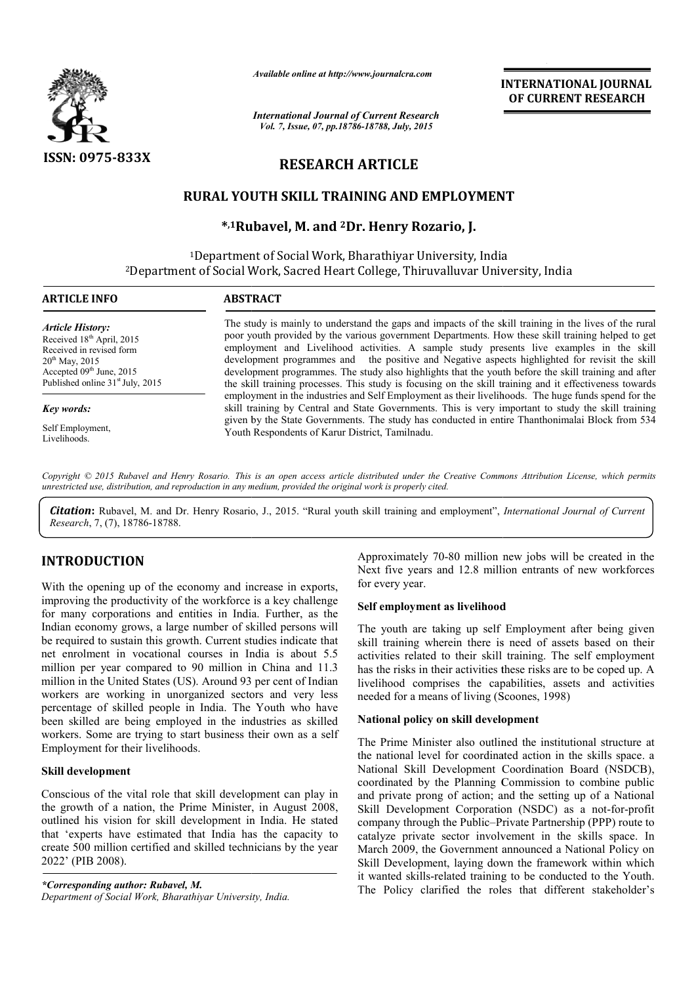

*Available online at http://www.journalcra.com*

# RESEARCH ARTICLE

## RURAL YOUTH SKILL TRAINING AND EMPLOYMENT

## \*,1Rubavel, M. and <sup>2</sup>Dr. Henry Rozario, J.

|                                                                                                                                                                                                                                                                                                                                                                                                                                                                                                                                                                                                                                                                                 | лтините опине интирулттуриниисписот<br><b>INTERNATIONAL JOURNAL</b><br>OF CURRENT RESEARCH<br><b>International Journal of Current Research</b>                                                                                                                                                                                                                                                                                                                                                                                                                                                                               |                                                                                                                                                                                                                                                                                                                                                                                      |  |
|---------------------------------------------------------------------------------------------------------------------------------------------------------------------------------------------------------------------------------------------------------------------------------------------------------------------------------------------------------------------------------------------------------------------------------------------------------------------------------------------------------------------------------------------------------------------------------------------------------------------------------------------------------------------------------|------------------------------------------------------------------------------------------------------------------------------------------------------------------------------------------------------------------------------------------------------------------------------------------------------------------------------------------------------------------------------------------------------------------------------------------------------------------------------------------------------------------------------------------------------------------------------------------------------------------------------|--------------------------------------------------------------------------------------------------------------------------------------------------------------------------------------------------------------------------------------------------------------------------------------------------------------------------------------------------------------------------------------|--|
|                                                                                                                                                                                                                                                                                                                                                                                                                                                                                                                                                                                                                                                                                 | Vol. 7, Issue, 07, pp.18786-18788, July, 2015                                                                                                                                                                                                                                                                                                                                                                                                                                                                                                                                                                                |                                                                                                                                                                                                                                                                                                                                                                                      |  |
| ISSN: 0975-833X                                                                                                                                                                                                                                                                                                                                                                                                                                                                                                                                                                                                                                                                 | <b>RESEARCH ARTICLE</b>                                                                                                                                                                                                                                                                                                                                                                                                                                                                                                                                                                                                      |                                                                                                                                                                                                                                                                                                                                                                                      |  |
|                                                                                                                                                                                                                                                                                                                                                                                                                                                                                                                                                                                                                                                                                 |                                                                                                                                                                                                                                                                                                                                                                                                                                                                                                                                                                                                                              | RURAL YOUTH SKILL TRAINING AND EMPLOYMENT                                                                                                                                                                                                                                                                                                                                            |  |
|                                                                                                                                                                                                                                                                                                                                                                                                                                                                                                                                                                                                                                                                                 |                                                                                                                                                                                                                                                                                                                                                                                                                                                                                                                                                                                                                              | *,1Rubavel, M. and <sup>2</sup> Dr. Henry Rozario, J.                                                                                                                                                                                                                                                                                                                                |  |
|                                                                                                                                                                                                                                                                                                                                                                                                                                                                                                                                                                                                                                                                                 |                                                                                                                                                                                                                                                                                                                                                                                                                                                                                                                                                                                                                              | <sup>1</sup> Department of Social Work, Bharathiyar University, India<br><sup>2</sup> Department of Social Work, Sacred Heart College, Thiruvalluvar University, India                                                                                                                                                                                                               |  |
| <b>ARTICLE INFO</b>                                                                                                                                                                                                                                                                                                                                                                                                                                                                                                                                                                                                                                                             | <b>ABSTRACT</b>                                                                                                                                                                                                                                                                                                                                                                                                                                                                                                                                                                                                              |                                                                                                                                                                                                                                                                                                                                                                                      |  |
| <b>Article History:</b><br>Received 18th April, 2015<br>Received in revised form<br>$20^{th}$ May, 2015<br>Accepted 09th June, 2015<br>Published online 31 <sup>st</sup> July, 2015                                                                                                                                                                                                                                                                                                                                                                                                                                                                                             | The study is mainly to understand the gaps and impacts of the skill training in the lives of the rural<br>poor youth provided by the various government Departments. How these skill training helped to get<br>employment and Livelihood activities. A sample study presents live examples in the skill<br>development programmes and the positive and Negative aspects highlighted for revisit the skill<br>development programmes. The study also highlights that the youth before the skill training and after<br>the skill training processes. This study is focusing on the skill training and it effectiveness towards |                                                                                                                                                                                                                                                                                                                                                                                      |  |
| Key words:                                                                                                                                                                                                                                                                                                                                                                                                                                                                                                                                                                                                                                                                      |                                                                                                                                                                                                                                                                                                                                                                                                                                                                                                                                                                                                                              | employment in the industries and Self Employment as their livelihoods. The huge funds spend for the<br>skill training by Central and State Governments. This is very important to study the skill training                                                                                                                                                                           |  |
| Self Employment,<br>Livelihoods.                                                                                                                                                                                                                                                                                                                                                                                                                                                                                                                                                                                                                                                | given by the State Governments. The study has conducted in entire Thanthonimalai Block from 534<br>Youth Respondents of Karur District, Tamilnadu.                                                                                                                                                                                                                                                                                                                                                                                                                                                                           |                                                                                                                                                                                                                                                                                                                                                                                      |  |
| Research, 7, (7), 18786-18788.                                                                                                                                                                                                                                                                                                                                                                                                                                                                                                                                                                                                                                                  | unrestricted use, distribution, and reproduction in any medium, provided the original work is properly cited.                                                                                                                                                                                                                                                                                                                                                                                                                                                                                                                | Copyright © 2015 Rubavel and Henry Rosario. This is an open access article distributed under the Creative Commons Attribution License, which permits<br>Citation: Rubavel, M. and Dr. Henry Rosario, J., 2015. "Rural youth skill training and employment", International Journal of Current                                                                                         |  |
| <b>INTRODUCTION</b><br>With the opening up of the economy and increase in exports,<br>improving the productivity of the workforce is a key challenge<br>for many corporations and entities in India. Further, as the<br>Indian economy grows, a large number of skilled persons will<br>be required to sustain this growth. Current studies indicate that<br>net enrolment in vocational courses in India is about 5.5<br>million per year compared to 90 million in China and 11.3<br>million in the United States (US). Around 93 per cent of Indian<br>workers are working in unorganized sectors and very less<br>percentage of skilled people in India. The Youth who have |                                                                                                                                                                                                                                                                                                                                                                                                                                                                                                                                                                                                                              | Approximately 70-80 million new jobs will be created in the<br>Next five years and 12.8 million entrants of new workforces<br>for every year.                                                                                                                                                                                                                                        |  |
|                                                                                                                                                                                                                                                                                                                                                                                                                                                                                                                                                                                                                                                                                 |                                                                                                                                                                                                                                                                                                                                                                                                                                                                                                                                                                                                                              | Self employment as livelihood                                                                                                                                                                                                                                                                                                                                                        |  |
|                                                                                                                                                                                                                                                                                                                                                                                                                                                                                                                                                                                                                                                                                 |                                                                                                                                                                                                                                                                                                                                                                                                                                                                                                                                                                                                                              | The youth are taking up self Employment after being given<br>skill training wherein there is need of assets based on their<br>activities related to their skill training. The self employment<br>has the risks in their activities these risks are to be coped up. A<br>livelihood comprises the capabilities, assets and activities<br>needed for a means of living (Scoones, 1998) |  |
| been skilled are being employed in the industries as skilled                                                                                                                                                                                                                                                                                                                                                                                                                                                                                                                                                                                                                    |                                                                                                                                                                                                                                                                                                                                                                                                                                                                                                                                                                                                                              | National policy on skill development                                                                                                                                                                                                                                                                                                                                                 |  |
| workers. Some are trying to start business their own as a self<br>Employment for their livelihoods.                                                                                                                                                                                                                                                                                                                                                                                                                                                                                                                                                                             |                                                                                                                                                                                                                                                                                                                                                                                                                                                                                                                                                                                                                              | The Prime Minister also outlined the institutional structure at<br>the national level for coordinated action in the skills space. a                                                                                                                                                                                                                                                  |  |
| Skill development                                                                                                                                                                                                                                                                                                                                                                                                                                                                                                                                                                                                                                                               |                                                                                                                                                                                                                                                                                                                                                                                                                                                                                                                                                                                                                              | National Skill Development Coordination Board (NSDCB),<br>coordinated by the Planning Commission to combine public                                                                                                                                                                                                                                                                   |  |
| Conscious of the vital role that skill development can play in<br>the growth of a nation, the Prime Minister, in August 2008,<br>outlined his vision for skill development in India. He stated<br>that 'experts have estimated that India has the capacity to<br>create 500 million certified and skilled technicians by the year<br>2022' (PIB 2008).                                                                                                                                                                                                                                                                                                                          |                                                                                                                                                                                                                                                                                                                                                                                                                                                                                                                                                                                                                              | and private prong of action; and the setting up of a National<br>Skill Development Corporation (NSDC) as a not-for-profit<br>company through the Public-Private Partnership (PPP) route to<br>catalyze private sector involvement in the skills space. In<br>March 2009, the Government announced a National Policy on<br>Skill Development, laying down the framework within which  |  |
|                                                                                                                                                                                                                                                                                                                                                                                                                                                                                                                                                                                                                                                                                 |                                                                                                                                                                                                                                                                                                                                                                                                                                                                                                                                                                                                                              | it wanted skills-related training to be conducted to the Youth.                                                                                                                                                                                                                                                                                                                      |  |

# INTRODUCTION

#### Skill development

*\*Corresponding author: Rubavel, M.* Department of Social Work, Bharathiyar University, India.

#### Self employment as livelihood

### National policy on skill development

The Prime Minister also outlined the institutional structure at The Prime Minister also outlined the institutional structure at the national level for coordinated action in the skills space. a National Skill Development Coordination Board (NSDCB), coordinated by the Planning Commission to combine public and private prong of action; and the setting up of a National Skill Development Corporation (NSDC) as a not-for-profit company through the Public–Private Partnership (PPP) route to company through the Public–Private Partnership (PPP) route to catalyze private sector involvement in the skills space. In March 2009, the Government announced a National Policy on Skill Development, laying down the framework within which it wanted skills-related training to be conducted to the Youth. The Policy clarified the roles that different stakeholder's onal Skill Development Coordination Board (NSDCB), dinated by the Planning Commission to combine public private prong of action; and the setting up of a National Development Corporation (NSDC) as a not-for-profit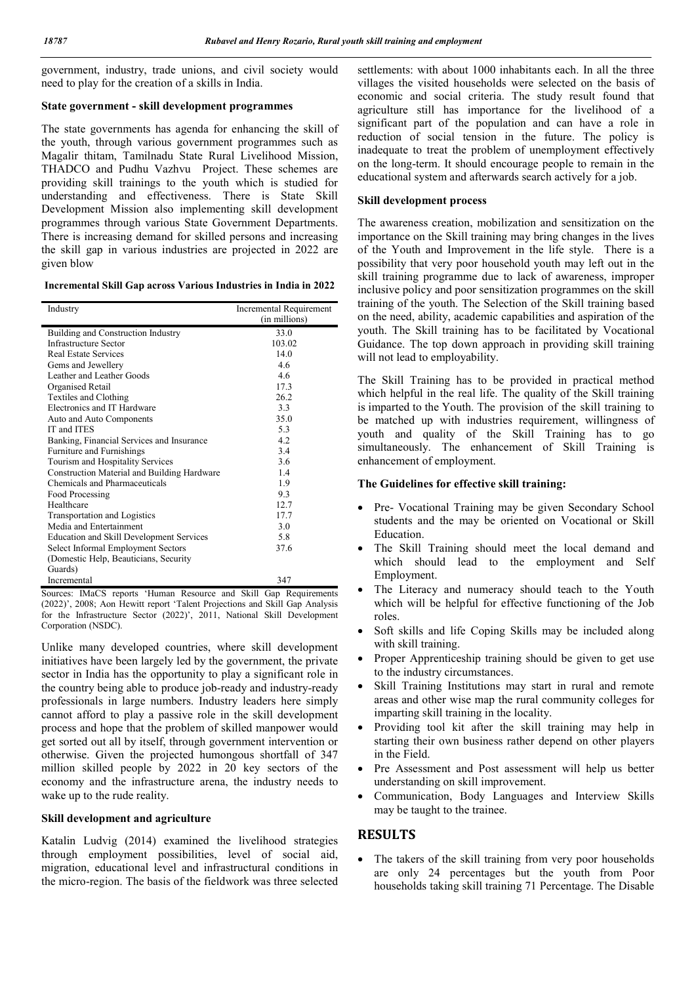government, industry, trade unions, and civil society would need to play for the creation of a skills in India.

#### State government - skill development programmes

The state governments has agenda for enhancing the skill of the youth, through various government programmes such as Magalir thitam, Tamilnadu State Rural Livelihood Mission, THADCO and Pudhu Vazhvu Project. These schemes are providing skill trainings to the youth which is studied for understanding and effectiveness. There is State Skill Development Mission also implementing skill development programmes through various State Government Departments. There is increasing demand for skilled persons and increasing the skill gap in various industries are projected in 2022 are given blow

| Incremental Skill Gap across Various Industries in India in 2022 |
|------------------------------------------------------------------|
|------------------------------------------------------------------|

| Industry                                        | Incremental Requirement |
|-------------------------------------------------|-------------------------|
|                                                 | (in millions)           |
| Building and Construction Industry              | 33.0                    |
| <b>Infrastructure Sector</b>                    | 103.02                  |
| <b>Real Estate Services</b>                     | 14.0                    |
| Gems and Jewellery                              | 4.6                     |
| Leather and Leather Goods                       | 4.6                     |
| Organised Retail                                | 17.3                    |
| Textiles and Clothing                           | 26.2                    |
| Electronics and IT Hardware                     | 3.3                     |
| Auto and Auto Components                        | 35.0                    |
| IT and ITES                                     | 5.3                     |
| Banking, Financial Services and Insurance       | 4.2                     |
| Furniture and Furnishings                       | 3.4                     |
| Tourism and Hospitality Services                | 3.6                     |
| Construction Material and Building Hardware     | 1.4                     |
| Chemicals and Pharmaceuticals                   | 1.9                     |
| Food Processing                                 | 9.3                     |
| Healthcare                                      | 12.7                    |
| Transportation and Logistics                    | 17.7                    |
| Media and Entertainment                         | 3.0                     |
| <b>Education and Skill Development Services</b> | 5.8                     |
| Select Informal Employment Sectors              | 37.6                    |
| (Domestic Help, Beauticians, Security)          |                         |
| Guards)                                         |                         |
| Incremental                                     | 347                     |

Sources: IMaCS reports 'Human Resource and Skill Gap Requirements (2022)', 2008; Aon Hewitt report 'Talent Projections and Skill Gap Analysis for the Infrastructure Sector (2022)', 2011, National Skill Development Corporation (NSDC).

Unlike many developed countries, where skill development initiatives have been largely led by the government, the private sector in India has the opportunity to play a significant role in the country being able to produce job-ready and industry-ready professionals in large numbers. Industry leaders here simply cannot afford to play a passive role in the skill development process and hope that the problem of skilled manpower would get sorted out all by itself, through government intervention or otherwise. Given the projected humongous shortfall of 347 million skilled people by 2022 in 20 key sectors of the economy and the infrastructure arena, the industry needs to wake up to the rude reality.

#### Skill development and agriculture

Katalin Ludvig (2014) examined the livelihood strategies through employment possibilities, level of social aid, migration, educational level and infrastructural conditions in the micro-region. The basis of the fieldwork was three selected settlements: with about 1000 inhabitants each. In all the three villages the visited households were selected on the basis of economic and social criteria. The study result found that agriculture still has importance for the livelihood of a significant part of the population and can have a role in reduction of social tension in the future. The policy is inadequate to treat the problem of unemployment effectively on the long-term. It should encourage people to remain in the educational system and afterwards search actively for a job.

#### Skill development process

The awareness creation, mobilization and sensitization on the importance on the Skill training may bring changes in the lives of the Youth and Improvement in the life style. There is a possibility that very poor household youth may left out in the skill training programme due to lack of awareness, improper inclusive policy and poor sensitization programmes on the skill training of the youth. The Selection of the Skill training based on the need, ability, academic capabilities and aspiration of the youth. The Skill training has to be facilitated by Vocational Guidance. The top down approach in providing skill training will not lead to employability.

The Skill Training has to be provided in practical method which helpful in the real life. The quality of the Skill training is imparted to the Youth. The provision of the skill training to be matched up with industries requirement, willingness of youth and quality of the Skill Training has to go simultaneously. The enhancement of Skill Training is enhancement of employment.

#### The Guidelines for effective skill training:

- Pre- Vocational Training may be given Secondary School students and the may be oriented on Vocational or Skill Education.
- The Skill Training should meet the local demand and which should lead to the employment and Self Employment.
- The Literacy and numeracy should teach to the Youth which will be helpful for effective functioning of the Job roles.
- Soft skills and life Coping Skills may be included along with skill training.
- Proper Apprenticeship training should be given to get use to the industry circumstances.
- Skill Training Institutions may start in rural and remote areas and other wise map the rural community colleges for imparting skill training in the locality.
- Providing tool kit after the skill training may help in starting their own business rather depend on other players in the Field.
- Pre Assessment and Post assessment will help us better understanding on skill improvement.
- Communication, Body Languages and Interview Skills may be taught to the trainee.

### RESULTS

 The takers of the skill training from very poor households are only 24 percentages but the youth from Poor households taking skill training 71 Percentage. The Disable